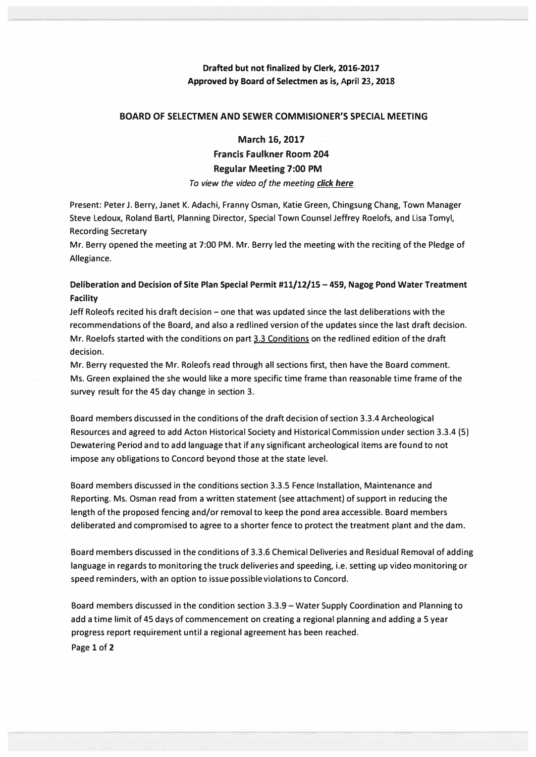## **Drafted but not finalized by Clerk, 2016-2017 Approved by Board of Selectmen as is, April 23, 2018**

### **BOARD OF SELECTMEN AND SEWER COMMISIONER'S SPECIAL MEETING**

#### **March 16, 2017**

**Francis Faulkner Room 204** 

#### **Regular Meeting 7:00 PM**

*To view the video of the meeting click here*

**Present: Peter J. Berry, Janet K. Adachi, Franny Osman, Katie Green, Chingsung Chang, Town Manager Steve Ledoux, Roland Bartl, Planning Director, Special Town Counsel Jeffrey Roelofs, and Lisa Tomyl, Recording Secretary** 

**Mr. Berry opened the meeting at 7:00 PM. Mr. Berry led the meeting with the reciting of the Pledge of Allegiance.** 

## **Deliberation and Decision of Site Plan Special Permit #11/12/15 - 459, Nagog Pond Water Treatment Facility**

**Jeff Roleofs recited his draft decision - one that was updated since the last deliberations with the recommendations of the Board, and also a redlined version of the updates since the last draft decision. Mr. Roelofs started with the conditions on part 3.3 Conditions on the red lined edition of the draft decision.** 

**Mr. Berry requested the Mr. Roleofs read through all sections first, then have the Board comment. Ms. Green explained the she would like a more specific time frame than reasonable time frame of the survey result for the 45 day change in section 3.** 

**Board members discussed in the conditions of the draft decision of section 3.3.4 Archeological Resources and agreed to add Acton Historical Society and Historical Commission under section 3.3.4 (5) Dewatering Period and to add language that if any significant archeological items are found to not impose any obligations to Concord beyond those at the state level.** 

**Board members discussed in the conditions section 3.3.5 Fence Installation, Maintenance and Reporting. Ms. Osman read from a written statement (see attachment) of support in reducing the length of the proposed fencing and/or removal to keep the pond area accessible. Board members deliberated and compromised to agree to a shorter fence to protect the treatment plant and the dam.** 

**Board members discussed in the conditions of 3.3.6 Chemical Deliveries and Residual Removal of adding language in regards to monitoring the truck deliveries and speeding, i.e. setting up video monitoring or speed reminders, with an option to issue possible violations to Concord.** 

**Board members discussed in the condition section 3.3.9 - Water Supply Coordination and Planning to add a time limit of 45 days of commencement on creating a regional planning and adding a 5 year progress report requirement until a regional agreement has been reached. Page 1 of 2**